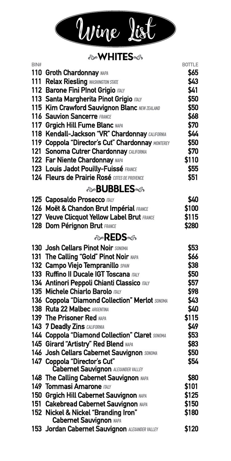

#### **&WHITES**

| BIN# |                                                                       | <b>BOTTLE</b> |
|------|-----------------------------------------------------------------------|---------------|
|      | 110 Groth Chardonnay NAPA                                             | \$65          |
|      | 111 Relax Riesling WASHINGTON STATE                                   | \$43          |
|      | 112 Barone Fini Plnot Grigio maur                                     | \$41          |
|      | 113 Santa Margherita Pinot Grigio mar                                 | \$50          |
|      | 115 Kim Crawford Sauvignon Blanc NEW ZEALAND                          | \$50          |
|      | 116 Sauvion Sancerre FRANCE                                           | \$68          |
|      | 117 Grgich Hill Fume Blanc NAPA                                       | \$70          |
|      | 118 Kendall-Jackson "VR" Chardonnay CALIFORNIA                        | \$44          |
|      | 119 Coppola "Director's Cut" Chardonnay MONTEREY                      | \$50          |
|      | 121 Sonoma Cutrer Chardonnay CALIFORNIA                               | \$70          |
|      | 122 Far Niente Chardonnay MAPA                                        | \$110         |
|      | 123 Louis Jadot Pouilly-Fuissé FRANCE                                 | \$55          |
|      | 124 Fleurs de Prairie Rosé cores DE PROVENCE                          | \$51          |
|      | ��BUBBLES                                                             |               |
|      | 125 Caposaldo Prosecco mar                                            | \$40          |
|      | 126 Moët & Chandon Brut Impérial FRANCE                               | \$100         |
|      | 127 Veuve Clicquot Yellow Label Brut FRANCE                           | \$115         |
|      | 128 Dom Pérignon Brut FRANCE                                          | \$280         |
|      | ⊗REDS∞ଈ                                                               |               |
|      | 130 Josh Cellars Pinot Noir SONOMA                                    | \$53          |
|      | 131 The Calling "Gold" Pinot Noir NAPA                                | \$66          |
|      | 132 Campo Viejo Tempranillo SPAIN                                     | \$38          |
|      | 133 Ruffino II Ducale IGT Toscana mary                                | \$50          |
|      | 134 Antinori Peppoli Chianti Classico mar                             | \$57          |
|      | 135 Michele Chiarlo Barolo mar                                        | \$98          |
|      | 136 Coppola "Diamond Collection" Merlot SONOMA                        | \$43          |
|      | 138 Ruta 22 Malbec ARGENTINA                                          | \$40          |
|      | 139 The Prisoner Red MAPA                                             | \$115         |
|      | 143 7 Deadly Zins CALIFORNIA                                          | \$49          |
|      | 144 Coppola "Diamond Collection" Claret SONOMA                        | \$53          |
|      | 145 Girard "Artistry" Red Blend MAPA                                  | \$83          |
|      | 146 Josh Cellars Cabernet Sauvignon SONOMA                            | \$50          |
|      | 147 Coppola "Director's Cut"                                          | \$54          |
|      | <b>Cabernet Sauvignon ALEXANDER VALLEY</b>                            |               |
|      | 148 The Calling Cabernet Sauvignon MAPA                               | \$80          |
|      | 149 Tommasi Amarone maur                                              | \$101         |
|      | 150 Grgich Hill Cabernet Sauvignon MAPA                               | \$125         |
|      | 151 Cakebread Cabernet Sauvignon MAPA                                 | \$150         |
|      | 152 Nickel & Nickel "Branding Iron"<br><b>Cabernet Sauvignon NAPA</b> | \$180         |
|      | 153 Jordan Cabernet Sauvignon ALEXANDER VALLEY                        | \$120         |
|      |                                                                       |               |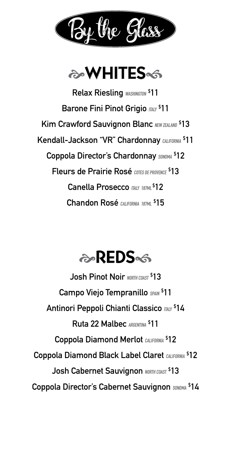



**Relax Riesling WASHINGTON \$ 11 Barone Fini Pinot Grigio ITALY \$ 11 Kim Crawford Sauvignon Blanc NEW ZEALAND \$ 13 Kendall-Jackson "VR" Chardonnay CALIFORNIA \$ 11**  $C$ oppola Director's Chardonnay  $\text{SONOMA}$  \$12 **Fleurs de Prairie Rosé COTES DE PROVENCE \$ 13 Canella Prosecco ITALY 187ML \$ 12 Chandon Rosé CALIFORNIA 187ML \$ 15**

# a REDS

**Josh Pinot Noir NORTH COAST \$ 13 Campo Viejo Tempranillo SPAIN \$ 11 Antinori Peppoli Chianti Classico ITALY \$ 14 Ruta 22 Malbec ARGENTINA \$ 11 Coppola Diamond Merlot CALIFORNIA \$ 12 Coppola Diamond Black Label Claret CALIFORNIA \$ 12 Josh Cabernet Sauvignon NORTH COAST \$ 13**  $\mathsf{Coppola\ Director's\ Cabernet\ Sauvignon\ } \mathsf{SOMOMA\ } \mathsf{S14}$